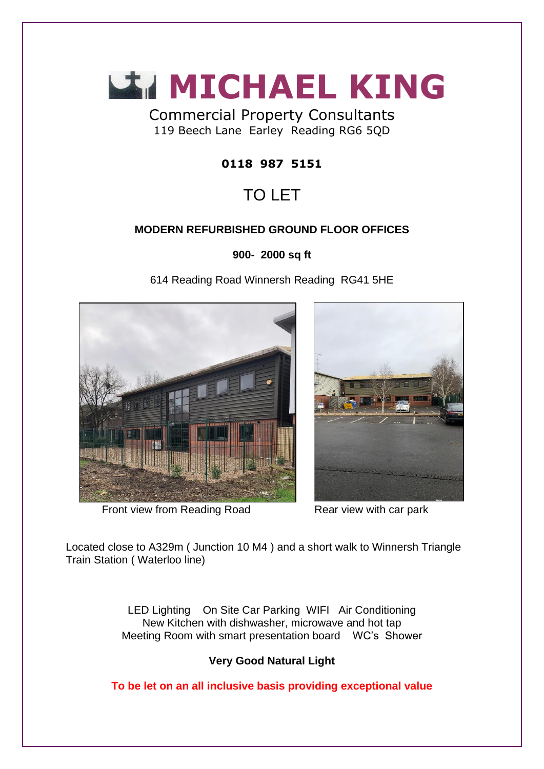

Commercial Property Consultants 119 Beech Lane Earley Reading RG6 5QD

## **0118 987 5151**

# TO LET

## **MODERN REFURBISHED GROUND FLOOR OFFICES**

**900- 2000 sq ft**

614 Reading Road Winnersh Reading RG41 5HE



Front view from Reading Road Rear view with car park



Located close to A329m ( Junction 10 M4 ) and a short walk to Winnersh Triangle Train Station ( Waterloo line)

> LED Lighting On Site Car Parking WIFI Air Conditioning New Kitchen with dishwasher, microwave and hot tap Meeting Room with smart presentation board WC's Shower

## **Very Good Natural Light**

**To be let on an all inclusive basis providing exceptional value**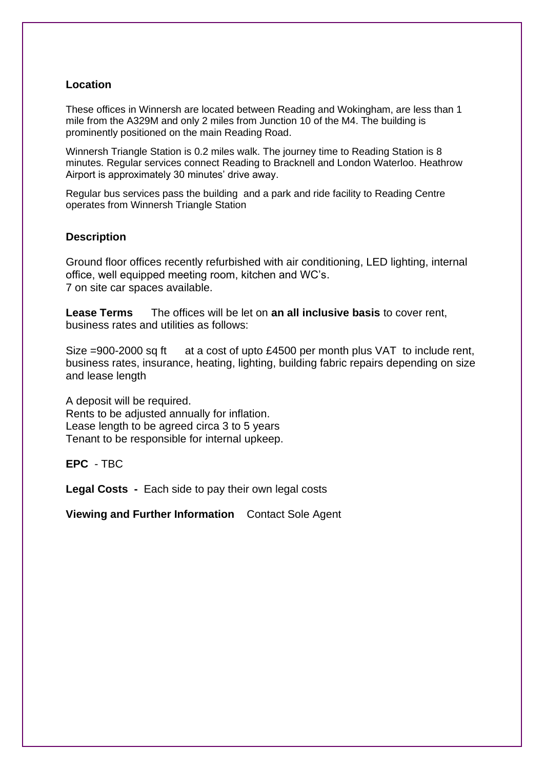#### **Location**

These offices in Winnersh are located between Reading and Wokingham, are less than 1 mile from the A329M and only 2 miles from Junction 10 of the M4. The building is prominently positioned on the main Reading Road.

Winnersh Triangle Station is 0.2 miles walk. The journey time to Reading Station is 8 minutes. Regular services connect Reading to Bracknell and London Waterloo. Heathrow Airport is approximately 30 minutes' drive away.

Regular bus services pass the building and a park and ride facility to Reading Centre operates from Winnersh Triangle Station

#### **Description**

Ground floor offices recently refurbished with air conditioning, LED lighting, internal office, well equipped meeting room, kitchen and WC's. 7 on site car spaces available.

**Lease Terms** The offices will be let on **an all inclusive basis** to cover rent, business rates and utilities as follows:

Size =900-2000 sq ft at a cost of upto £4500 per month plus VAT to include rent, business rates, insurance, heating, lighting, building fabric repairs depending on size and lease length

A deposit will be required. Rents to be adjusted annually for inflation. Lease length to be agreed circa 3 to 5 years Tenant to be responsible for internal upkeep.

**EPC** - TBC

**Legal Costs -** Each side to pay their own legal costs

**Viewing and Further Information** Contact Sole Agent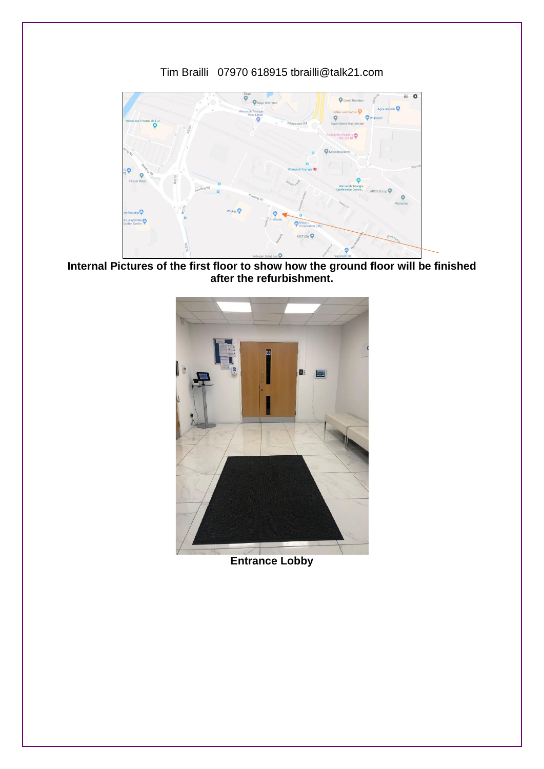#### Tim Brailli 07970 618915 tbrailli@talk21.com



**Internal Pictures of the first floor to show how the ground floor will be finished after the refurbishment.**



**Entrance Lobby**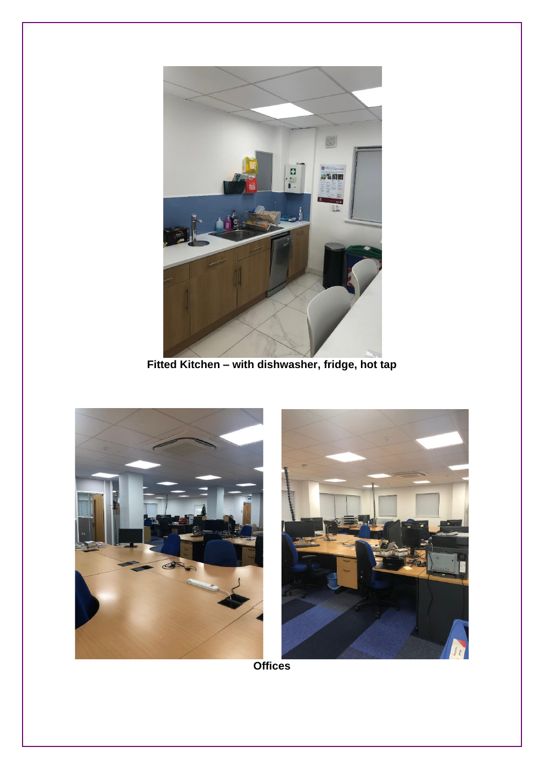

Fitted Kitchen - with dishwasher, fridge, hot tap





**Offices**